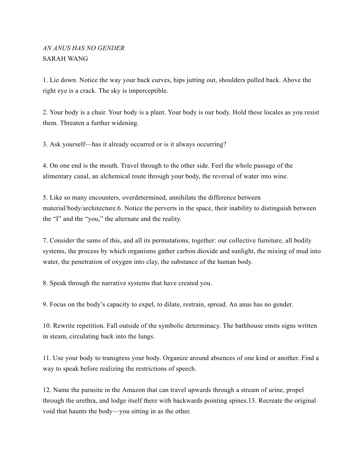## *AN ANUS HAS NO GENDER* SARAH WANG

1. Lie down. Notice the way your back curves, hips jutting out, shoulders pulled back. Above the right eye is a crack. The sky is imperceptible.

2. Your body is a chair. Your body is a plant. Your body is our body. Hold these locales as you resist them. Threaten a further widening.

3. Ask yourself—has it already occurred or is it always occurring?

4. On one end is the mouth. Travel through to the other side. Feel the whole passage of the alimentary canal, an alchemical route through your body, the reversal of water into wine.

5. Like so many encounters, overdetermined, annihilate the difference between material/body/architecture.6. Notice the perverts in the space, their inability to distinguish between the "I" and the "you," the alternate and the reality.

7. Consider the sums of this, and all its permutations, together: our collective furniture, all bodily systems, the process by which organisms gather carbon dioxide and sunlight, the mixing of mud into water, the penetration of oxygen into clay, the substance of the human body.

8. Speak through the narrative systems that have created you.

9. Focus on the body's capacity to expel, to dilate, restrain, spread. An anus has no gender.

10. Rewrite repetition. Fall outside of the symbolic determinacy. The bathhouse emits signs written in steam, circulating back into the lungs.

11. Use your body to transgress your body. Organize around absences of one kind or another. Find a way to speak before realizing the restrictions of speech.

12. Name the parasite in the Amazon that can travel upwards through a stream of urine, propel through the urethra, and lodge itself there with backwards pointing spines.13. Recreate the original void that haunts the body—you sitting in as the other.